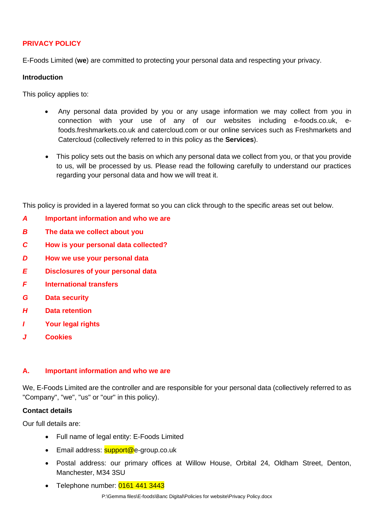# **PRIVACY POLICY**

E-Foods Limited (**we**) are committed to protecting your personal data and respecting your privacy.

### **Introduction**

This policy applies to:

- Any personal data provided by you or any usage information we may collect from you in connection with your use of any of our websites including e-foods.co.uk, efoods.freshmarkets.co.uk and catercloud.com or our online services such as Freshmarkets and Catercloud (collectively referred to in this policy as the **Services**).
- This policy sets out the basis on which any personal data we collect from you, or that you provide to us, will be processed by us. Please read the following carefully to understand our practices regarding your personal data and how we will treat it.

This policy is provided in a layered format so you can click through to the specific areas set out below.

- *A* **Important information and who we are**
- *B* **The data we collect about you**
- *C* **How is your personal data collected?**
- *D* **How we use your personal data**
- *E* **Disclosures of your personal data**
- *F* **International transfers**
- *G* **Data security**
- *H* **Data retention**
- *I* **Your legal rights**
- *J* **Cookies**

### **A. Important information and who we are**

We, E-Foods Limited are the controller and are responsible for your personal data (collectively referred to as "Company", "we", "us" or "our" in this policy).

### **Contact details**

Our full details are:

- Full name of legal entity: E-Foods Limited
- Email address: **support@**e-group.co.uk
- Postal address: our primary offices at Willow House, Orbital 24, Oldham Street, Denton, Manchester, M34 3SU
- Telephone number:  $01614413443$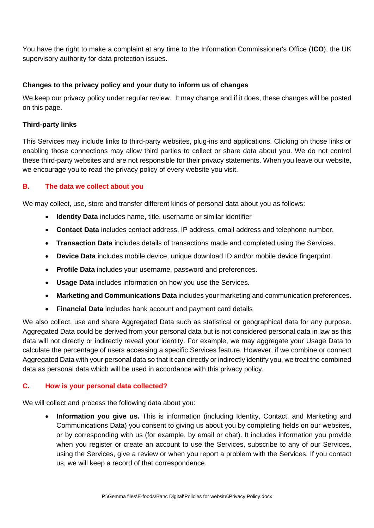You have the right to make a complaint at any time to the Information Commissioner's Office (**ICO**), the UK supervisory authority for data protection issues.

## **Changes to the privacy policy and your duty to inform us of changes**

We keep our privacy policy under regular review. It may change and if it does, these changes will be posted on this page.

### **Third-party links**

This Services may include links to third-party websites, plug-ins and applications. Clicking on those links or enabling those connections may allow third parties to collect or share data about you. We do not control these third-party websites and are not responsible for their privacy statements. When you leave our website, we encourage you to read the privacy policy of every website you visit.

### **B. The data we collect about you**

We may collect, use, store and transfer different kinds of personal data about you as follows:

- **Identity Data** includes name, title, username or similar identifier
- **Contact Data** includes contact address, IP address, email address and telephone number.
- **Transaction Data** includes details of transactions made and completed using the Services.
- **Device Data** includes mobile device, unique download ID and/or mobile device fingerprint.
- **Profile Data** includes your username, password and preferences.
- **Usage Data** includes information on how you use the Services.
- **Marketing and Communications Data** includes your marketing and communication preferences.
- **Financial Data** includes bank account and payment card details

We also collect, use and share Aggregated Data such as statistical or geographical data for any purpose. Aggregated Data could be derived from your personal data but is not considered personal data in law as this data will not directly or indirectly reveal your identity. For example, we may aggregate your Usage Data to calculate the percentage of users accessing a specific Services feature. However, if we combine or connect Aggregated Data with your personal data so that it can directly or indirectly identify you, we treat the combined data as personal data which will be used in accordance with this privacy policy.

### **C. How is your personal data collected?**

We will collect and process the following data about you:

• **Information you give us.** This is information (including Identity, Contact, and Marketing and Communications Data) you consent to giving us about you by completing fields on our websites, or by corresponding with us (for example, by email or chat). It includes information you provide when you register or create an account to use the Services, subscribe to any of our Services, using the Services, give a review or when you report a problem with the Services. If you contact us, we will keep a record of that correspondence.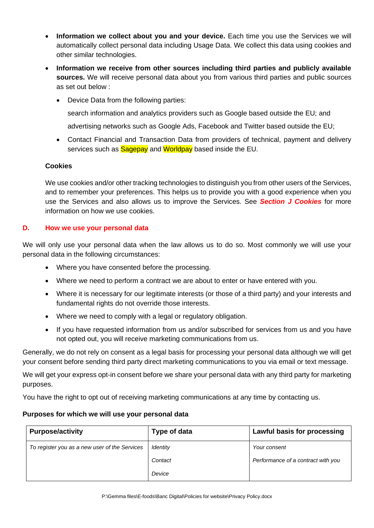- **Information we collect about you and your device.** Each time you use the Services we will automatically collect personal data including Usage Data. We collect this data using cookies and other similar technologies.
- **Information we receive from other sources including third parties and publicly available sources.** We will receive personal data about you from various third parties and public sources as set out below :

• Device Data from the following parties:

search information and analytics providers such as Google based outside the EU; and

advertising networks such as Google Ads, Facebook and Twitter based outside the EU;

• Contact Financial and Transaction Data from providers of technical, payment and delivery services such as **Sagepay** and Worldpay based inside the EU.

### **Cookies**

We use cookies and/or other tracking technologies to distinguish you from other users of the Services, and to remember your preferences. This helps us to provide you with a good experience when you use the Services and also allows us to improve the Services. See *Section J Cookies* for more information on how we use cookies.

### **D. How we use your personal data**

We will only use your personal data when the law allows us to do so. Most commonly we will use your personal data in the following circumstances:

- Where you have consented before the processing.
- Where we need to perform a contract we are about to enter or have entered with you.
- Where it is necessary for our legitimate interests (or those of a third party) and your interests and fundamental rights do not override those interests.
- Where we need to comply with a legal or regulatory obligation.
- If you have requested information from us and/or subscribed for services from us and you have not opted out, you will receive marketing communications from us.

Generally, we do not rely on consent as a legal basis for processing your personal data although we will get your consent before sending third party direct marketing communications to you via email or text message.

We will get your express opt-in consent before we share your personal data with any third party for marketing purposes.

You have the right to opt out of receiving marketing communications at any time by contacting us.

### **Purposes for which we will use your personal data**

| <b>Purpose/activity</b>                       | Type of data | Lawful basis for processing        |
|-----------------------------------------------|--------------|------------------------------------|
| To register you as a new user of the Services | Identity     | Your consent                       |
|                                               | Contact      | Performance of a contract with you |
|                                               | Device       |                                    |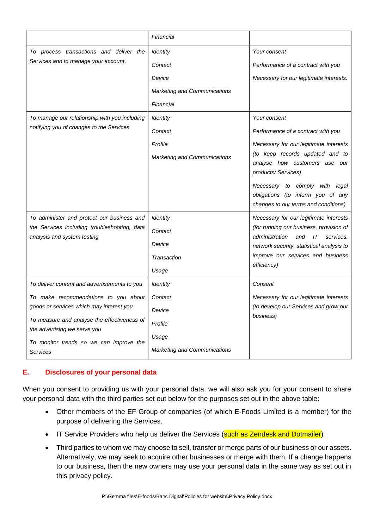|                                                                             | Financial                           |                                                                                                                                          |
|-----------------------------------------------------------------------------|-------------------------------------|------------------------------------------------------------------------------------------------------------------------------------------|
| To process transactions and deliver the                                     | Identity                            | Your consent                                                                                                                             |
| Services and to manage your account.                                        | Contact                             | Performance of a contract with you                                                                                                       |
|                                                                             | Device                              | Necessary for our legitimate interests.                                                                                                  |
|                                                                             | Marketing and Communications        |                                                                                                                                          |
|                                                                             | Financial                           |                                                                                                                                          |
| To manage our relationship with you including                               | Identity                            | Your consent                                                                                                                             |
| notifying you of changes to the Services                                    | Contact                             | Performance of a contract with you                                                                                                       |
|                                                                             | Profile                             | Necessary for our legitimate interests                                                                                                   |
|                                                                             | Marketing and Communications        | (to keep records updated and to<br>analyse how customers use our                                                                         |
|                                                                             |                                     | products/Services)                                                                                                                       |
|                                                                             |                                     | Necessary to comply with legal<br>obligations (to inform you of any                                                                      |
|                                                                             |                                     | changes to our terms and conditions)                                                                                                     |
| To administer and protect our business and                                  | Identity                            | Necessary for our legitimate interests                                                                                                   |
| the Services including troubleshooting, data<br>analysis and system testing | Contact                             | (for running our business, provision of<br>administration<br>$\sqrt{1}$<br>and<br>services.<br>network security, statistical analysis to |
|                                                                             | Device                              |                                                                                                                                          |
|                                                                             | Transaction                         | improve our services and business                                                                                                        |
|                                                                             | Usage                               | efficiency)                                                                                                                              |
| To deliver content and advertisements to you                                | Identity                            | Consent                                                                                                                                  |
| To make recommendations to you about                                        | Contact                             | Necessary for our legitimate interests                                                                                                   |
| goods or services which may interest you                                    | Device                              | (to develop our Services and grow our<br>business)                                                                                       |
| To measure and analyse the effectiveness of<br>the advertising we serve you | Profile                             |                                                                                                                                          |
| To monitor trends so we can improve the                                     | Usage                               |                                                                                                                                          |
| Services                                                                    | <b>Marketing and Communications</b> |                                                                                                                                          |

## **E. Disclosures of your personal data**

When you consent to providing us with your personal data, we will also ask you for your consent to share your personal data with the third parties set out below for the purposes set out in the above table:

- Other members of the EF Group of companies (of which E-Foods Limited is a member) for the purpose of delivering the Services.
- IT Service Providers who help us deliver the Services (such as Zendesk and Dotmailer)
- Third parties to whom we may choose to sell, transfer or merge parts of our business or our assets. Alternatively, we may seek to acquire other businesses or merge with them. If a change happens to our business, then the new owners may use your personal data in the same way as set out in this privacy policy.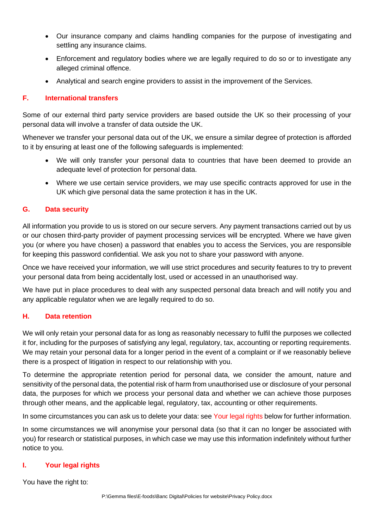- Our insurance company and claims handling companies for the purpose of investigating and settling any insurance claims.
- Enforcement and regulatory bodies where we are legally required to do so or to investigate any alleged criminal offence.
- Analytical and search engine providers to assist in the improvement of the Services.

### **F. International transfers**

Some of our external third party service providers are based outside the UK so their processing of your personal data will involve a transfer of data outside the UK.

Whenever we transfer your personal data out of the UK, we ensure a similar degree of protection is afforded to it by ensuring at least one of the following safeguards is implemented:

- We will only transfer your personal data to countries that have been deemed to provide an adequate level of protection for personal data.
- Where we use certain service providers, we may use specific contracts approved for use in the UK which give personal data the same protection it has in the UK.

### **G. Data security**

All information you provide to us is stored on our secure servers. Any payment transactions carried out by us or our chosen third-party provider of payment processing services will be encrypted. Where we have given you (or where you have chosen) a password that enables you to access the Services, you are responsible for keeping this password confidential. We ask you not to share your password with anyone.

Once we have received your information, we will use strict procedures and security features to try to prevent your personal data from being accidentally lost, used or accessed in an unauthorised way.

We have put in place procedures to deal with any suspected personal data breach and will notify you and any applicable regulator when we are legally required to do so.

### **H. Data retention**

We will only retain your personal data for as long as reasonably necessary to fulfil the purposes we collected it for, including for the purposes of satisfying any legal, regulatory, tax, accounting or reporting requirements. We may retain your personal data for a longer period in the event of a complaint or if we reasonably believe there is a prospect of litigation in respect to our relationship with you.

To determine the appropriate retention period for personal data, we consider the amount, nature and sensitivity of the personal data, the potential risk of harm from unauthorised use or disclosure of your personal data, the purposes for which we process your personal data and whether we can achieve those purposes through other means, and the applicable legal, regulatory, tax, accounting or other requirements.

In some circumstances you can ask us to delete your data: see Your legal rights below for further information.

In some circumstances we will anonymise your personal data (so that it can no longer be associated with you) for research or statistical purposes, in which case we may use this information indefinitely without further notice to you.

### **I. Your legal rights**

You have the right to: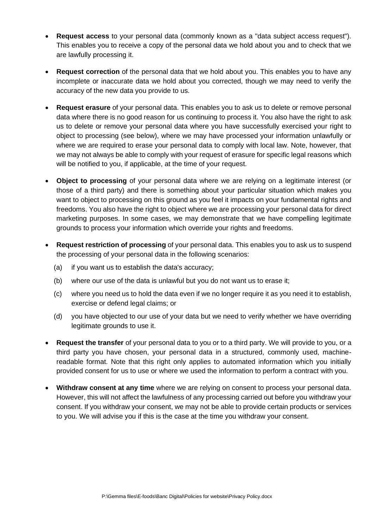- **Request access** to your personal data (commonly known as a "data subject access request"). This enables you to receive a copy of the personal data we hold about you and to check that we are lawfully processing it.
- **Request correction** of the personal data that we hold about you. This enables you to have any incomplete or inaccurate data we hold about you corrected, though we may need to verify the accuracy of the new data you provide to us.
- **Request erasure** of your personal data. This enables you to ask us to delete or remove personal data where there is no good reason for us continuing to process it. You also have the right to ask us to delete or remove your personal data where you have successfully exercised your right to object to processing (see below), where we may have processed your information unlawfully or where we are required to erase your personal data to comply with local law. Note, however, that we may not always be able to comply with your request of erasure for specific legal reasons which will be notified to you, if applicable, at the time of your request.
- **Object to processing** of your personal data where we are relying on a legitimate interest (or those of a third party) and there is something about your particular situation which makes you want to object to processing on this ground as you feel it impacts on your fundamental rights and freedoms. You also have the right to object where we are processing your personal data for direct marketing purposes. In some cases, we may demonstrate that we have compelling legitimate grounds to process your information which override your rights and freedoms.
- **Request restriction of processing** of your personal data. This enables you to ask us to suspend the processing of your personal data in the following scenarios:
	- (a) if you want us to establish the data's accuracy;
	- (b) where our use of the data is unlawful but you do not want us to erase it;
	- (c) where you need us to hold the data even if we no longer require it as you need it to establish, exercise or defend legal claims; or
	- (d) you have objected to our use of your data but we need to verify whether we have overriding legitimate grounds to use it.
- **Request the transfer** of your personal data to you or to a third party. We will provide to you, or a third party you have chosen, your personal data in a structured, commonly used, machinereadable format. Note that this right only applies to automated information which you initially provided consent for us to use or where we used the information to perform a contract with you.
- **Withdraw consent at any time** where we are relying on consent to process your personal data. However, this will not affect the lawfulness of any processing carried out before you withdraw your consent. If you withdraw your consent, we may not be able to provide certain products or services to you. We will advise you if this is the case at the time you withdraw your consent.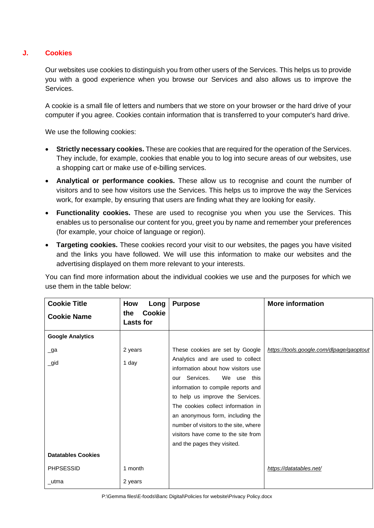## **J. Cookies**

Our websites use cookies to distinguish you from other users of the Services. This helps us to provide you with a good experience when you browse our Services and also allows us to improve the Services.

A cookie is a small file of letters and numbers that we store on your browser or the hard drive of your computer if you agree. Cookies contain information that is transferred to your computer's hard drive.

We use the following cookies:

- **Strictly necessary cookies.** These are cookies that are required for the operation of the Services. They include, for example, cookies that enable you to log into secure areas of our websites, use a shopping cart or make use of e-billing services.
- **Analytical or performance cookies.** These allow us to recognise and count the number of visitors and to see how visitors use the Services. This helps us to improve the way the Services work, for example, by ensuring that users are finding what they are looking for easily.
- **Functionality cookies.** These are used to recognise you when you use the Services. This enables us to personalise our content for you, greet you by name and remember your preferences (for example, your choice of language or region).
- **Targeting cookies.** These cookies record your visit to our websites, the pages you have visited and the links you have followed. We will use this information to make our websites and the advertising displayed on them more relevant to your interests.

You can find more information about the individual cookies we use and the purposes for which we use them in the table below:

| <b>Cookie Title</b>       | How<br>Long                              | <b>Purpose</b>                                                                                                                                                                                                                                                                                                                                                             | <b>More information</b>                  |
|---------------------------|------------------------------------------|----------------------------------------------------------------------------------------------------------------------------------------------------------------------------------------------------------------------------------------------------------------------------------------------------------------------------------------------------------------------------|------------------------------------------|
| <b>Cookie Name</b>        | <b>Cookie</b><br>the<br><b>Lasts for</b> |                                                                                                                                                                                                                                                                                                                                                                            |                                          |
| <b>Google Analytics</b>   |                                          |                                                                                                                                                                                                                                                                                                                                                                            |                                          |
| _ga                       | 2 years                                  | These cookies are set by Google                                                                                                                                                                                                                                                                                                                                            | https://tools.google.com/dlpage/gaoptout |
| _gid                      | 1 day                                    | Analytics and are used to collect<br>information about how visitors use<br>our Services.<br>We use this<br>information to compile reports and<br>to help us improve the Services.<br>The cookies collect information in<br>an anonymous form, including the<br>number of visitors to the site, where<br>visitors have come to the site from<br>and the pages they visited. |                                          |
| <b>Datatables Cookies</b> |                                          |                                                                                                                                                                                                                                                                                                                                                                            |                                          |
| <b>PHPSESSID</b>          | 1 month                                  |                                                                                                                                                                                                                                                                                                                                                                            | https://datatables.net/                  |
| utma                      | 2 years                                  |                                                                                                                                                                                                                                                                                                                                                                            |                                          |